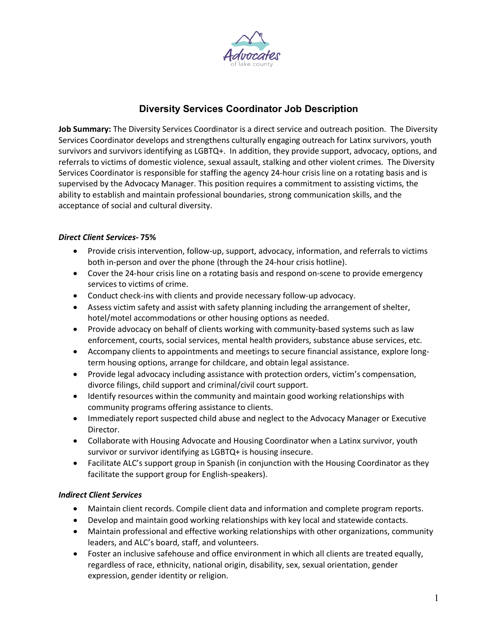

# **Diversity Services Coordinator Job Description**

**Job Summary:** The Diversity Services Coordinator is a direct service and outreach position. The Diversity Services Coordinator develops and strengthens culturally engaging outreach for Latinx survivors, youth survivors and survivors identifying as LGBTQ+. In addition, they provide support, advocacy, options, and referrals to victims of domestic violence, sexual assault, stalking and other violent crimes. The Diversity Services Coordinator is responsible for staffing the agency 24-hour crisis line on a rotating basis and is supervised by the Advocacy Manager. This position requires a commitment to assisting victims, the ability to establish and maintain professional boundaries, strong communication skills, and the acceptance of social and cultural diversity.

## *Direct Client Services-* **75%**

- Provide crisis intervention, follow-up, support, advocacy, information, and referrals to victims both in-person and over the phone (through the 24-hour crisis hotline).
- Cover the 24-hour crisis line on a rotating basis and respond on-scene to provide emergency services to victims of crime.
- Conduct check-ins with clients and provide necessary follow-up advocacy.
- Assess victim safety and assist with safety planning including the arrangement of shelter, hotel/motel accommodations or other housing options as needed.
- Provide advocacy on behalf of clients working with community-based systems such as law enforcement, courts, social services, mental health providers, substance abuse services, etc.
- Accompany clients to appointments and meetings to secure financial assistance, explore longterm housing options, arrange for childcare, and obtain legal assistance.
- Provide legal advocacy including assistance with protection orders, victim's compensation, divorce filings, child support and criminal/civil court support.
- Identify resources within the community and maintain good working relationships with community programs offering assistance to clients.
- Immediately report suspected child abuse and neglect to the Advocacy Manager or Executive Director.
- Collaborate with Housing Advocate and Housing Coordinator when a Latinx survivor, youth survivor or survivor identifying as LGBTQ+ is housing insecure.
- Facilitate ALC's support group in Spanish (in conjunction with the Housing Coordinator as they facilitate the support group for English-speakers).

#### *Indirect Client Services*

- Maintain client records. Compile client data and information and complete program reports.
- Develop and maintain good working relationships with key local and statewide contacts.
- Maintain professional and effective working relationships with other organizations, community leaders, and ALC's board, staff, and volunteers.
- Foster an inclusive safehouse and office environment in which all clients are treated equally, regardless of race, ethnicity, national origin, disability, sex, sexual orientation, gender expression, gender identity or religion.